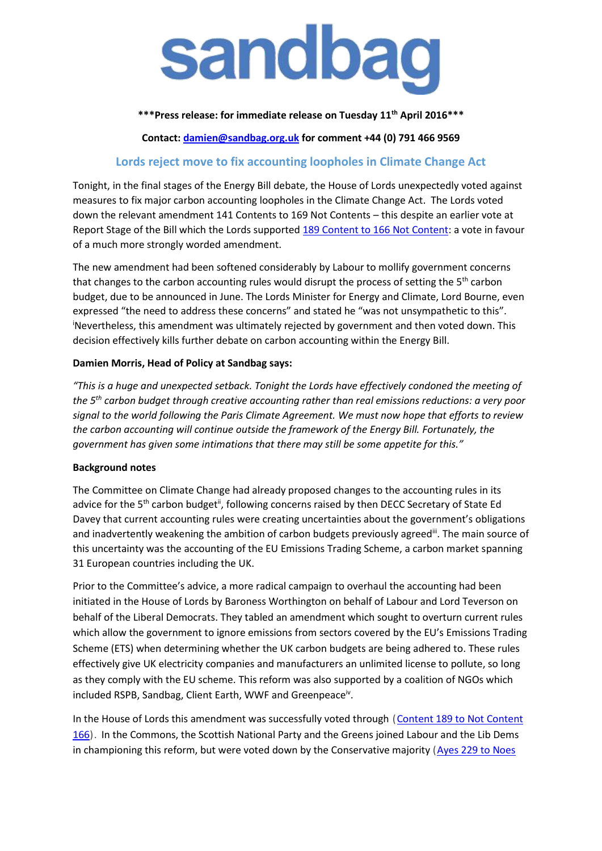

**\*\*\*Press release: for immediate release on Tuesday 11th April 2016\*\*\***

**Contact: [damien@sandbag.org.uk](mailto:damien@sandbag.org.uk) for comment +44 (0) 791 466 9569**

## **Lords reject move to fix accounting loopholes in Climate Change Act**

Tonight, in the final stages of the Energy Bill debate, the House of Lords unexpectedly voted against measures to fix major carbon accounting loopholes in the Climate Change Act. The Lords voted down the relevant amendment 141 Contents to 169 Not Contents – this despite an earlier vote at Report Stage of the Bill which the Lords supported [189 Content to 166 Not Content:](http://www.parliament.uk/business/publications/business-papers/lords/lords-divisions/?date=2015-Oct-21&itemId=2&session=2015-May-18) a vote in favour of a much more strongly worded amendment.

The new amendment had been softened considerably by Labour to mollify government concerns that changes to the carbon accounting rules would disrupt the process of setting the 5<sup>th</sup> carbon budget, due to be announced in June. The Lords Minister for Energy and Climate, Lord Bourne, even expressed "the need to address these concerns" and stated he "was not unsympathetic to this". iNevertheless, this amendment was ultimately rejected by government and then voted down. This decision effectively kills further debate on carbon accounting within the Energy Bill.

## **Damien Morris, Head of Policy at Sandbag says:**

*"This is a huge and unexpected setback. Tonight the Lords have effectively condoned the meeting of the 5th carbon budget through creative accounting rather than real emissions reductions: a very poor signal to the world following the Paris Climate Agreement. We must now hope that efforts to review the carbon accounting will continue outside the framework of the Energy Bill. Fortunately, the government has given some intimations that there may still be some appetite for this."*

## **Background notes**

The Committee on Climate Change had already proposed changes to the accounting rules in its advice for the 5<sup>th</sup> carbon budget<sup>ii</sup>, following concerns raised by then DECC Secretary of State Ed Davey that current accounting rules were creating uncertainties about the government's obligations and inadvertently weakening the ambition of carbon budgets previously agreed. The main source of this uncertainty was the accounting of the EU Emissions Trading Scheme, a carbon market spanning 31 European countries including the UK.

Prior to the Committee's advice, a more radical campaign to overhaul the accounting had been initiated in the House of Lords by Baroness Worthington on behalf of Labour and Lord Teverson on behalf of the Liberal Democrats. They tabled an amendment which sought to overturn current rules which allow the government to ignore emissions from sectors covered by the EU's Emissions Trading Scheme (ETS) when determining whether the UK carbon budgets are being adhered to. These rules effectively give UK electricity companies and manufacturers an unlimited license to pollute, so long as they comply with the EU scheme. This reform was also supported by a coalition of NGOs which included RSPB, Sandbag, Client Earth, WWF and Greenpeace<sup>iv</sup>.

In the House of Lords this amendment was successfully voted through (Content [189 to Not Content](http://www.parliament.uk/business/publications/business-papers/lords/lords-divisions/?date=2015-Oct-21&itemId=2&session=2015-May-18)  [166\)](http://www.parliament.uk/business/publications/business-papers/lords/lords-divisions/?date=2015-Oct-21&itemId=2&session=2015-May-18). In the Commons, the Scottish National Party and the Greens joined Labour and the Lib Dems in championing this reform, but were voted down by the Conservative majority (Ayes 229 to Noes